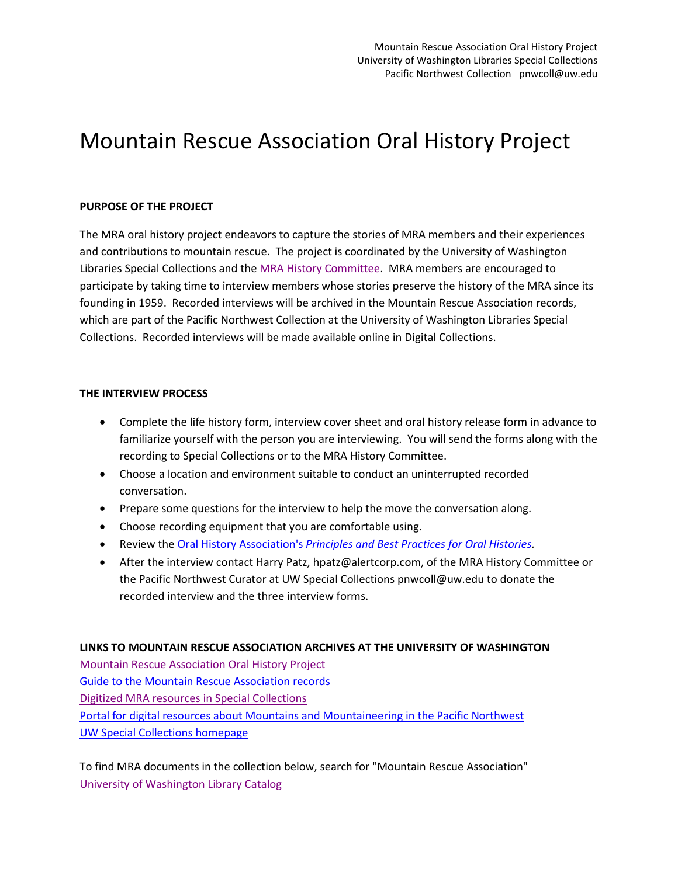## Mountain Rescue Association Oral History Project

#### **PURPOSE OF THE PROJECT**

The MRA oral history project endeavors to capture the stories of MRA members and their experiences and contributions to mountain rescue. The project is coordinated by the University of Washington Libraries Special Collections and the [MRA History Committee.](http://www.mra.org/about-mra/mra-history) MRA members are encouraged to participate by taking time to interview members whose stories preserve the history of the MRA since its founding in 1959. Recorded interviews will be archived in the Mountain Rescue Association records, which are part of the Pacific Northwest Collection at the University of Washington Libraries Special Collections. Recorded interviews will be made available online in Digital Collections.

#### **THE INTERVIEW PROCESS**

- Complete the life history form, interview cover sheet and oral history release form in advance to familiarize yourself with the person you are interviewing. You will send the forms along with the recording to Special Collections or to the MRA History Committee.
- Choose a location and environment suitable to conduct an uninterrupted recorded conversation.
- Prepare some questions for the interview to help the move the conversation along.
- Choose recording equipment that you are comfortable using.
- Review the Oral History Association's *[Principles and Best Practices for Oral Histories.](http://www.oralhistory.org/about/principles-and-practices/)*
- After the interview contact Harry Patz, hpatz@alertcorp.com, of the MRA History Committee or the Pacific Northwest Curator at UW Special Collections pnwcoll@uw.edu to donate the recorded interview and the three interview forms.

#### **LINKS TO MOUNTAIN RESCUE ASSOCIATION ARCHIVES AT THE UNIVERSITY OF WASHINGTON**

[Mountain Rescue Association Oral History Project](http://content.lib.washington.edu/portals/mountaineering/mra.html) [Guide to the Mountain Rescue Association records](http://digital.lib.washington.edu/findingaids/view?docId=MountainRescueAssociation5559.xml;brand=default%20%20) [Digitized MRA resources in Special Collections](http://digitalcollections.lib.washington.edu/cdm/search/collection/19thcenturyactors!advert!alaskawcanada!ayp!loc!lctext!barnes!ac!boyd!boydBraas!iww!chandless!childrens!civilwar!civilworks!cobb!curtis!dearmassar!dp!donaldson!pnwlabor!costumehist!fera!grandcoulee!harriman!hegg!hester!indocc!ic!jackson!jhp!historicalbookarts!kiehl!clarkkinsey!kinsey!laroche!larocheAlbum!lee!ll!mckenneyhall!ohc!meed!menus!hupy!mtn!filmarch!napoleon!nowell!pioneerlife!ptec!panoram!peiser!payne!pickett!portraits!norris!prosch_seattle!prosch_washington!glacier!salmon!sarvant!sayre!seattle!ww-swps!social!saohc!stereo!farquharson!thwaites!todd!tollcan!transportation!uwcampus!vanolinda!protests!waite!posters!warner!wastate!watson!maps!wto!mhm/searchterm/Mountain%20Rescue%20Association/order/title) [Portal for digital resources about Mountains and Mountaineering in the Pacific Northwest](http://content.lib.washington.edu/portals/mountaineering/index.html) [UW Special Collections homepage](http://www.lib.washington.edu/specialcollections/)

To find MRA documents in the collection below, search for "Mountain Rescue Association" [University of Washington Library Catalog](http://catalog.lib.washington.edu/search/X?SEARCH=&searchscope=6&SORT=D&b=sc)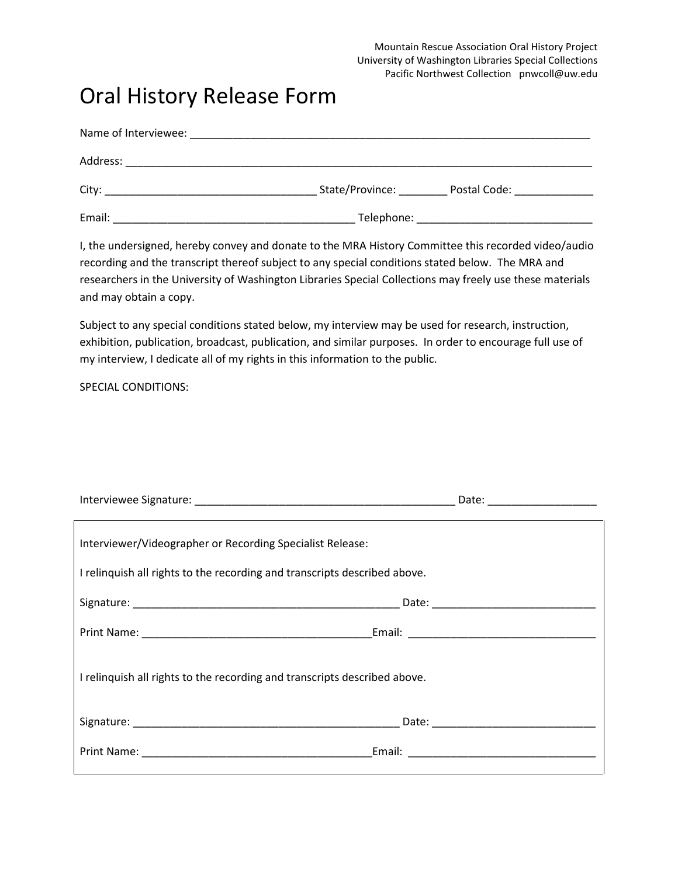Mountain Rescue Association Oral History Project University of Washington Libraries Special Collections Pacific Northwest Collection pnwcoll@uw.edu

### Oral History Release Form

| Name of Interviewee: |                                   |
|----------------------|-----------------------------------|
| Address:             |                                   |
| City:                | State/Province:<br>Postal Code:   |
| Email:               | Telephone: ______________________ |

I, the undersigned, hereby convey and donate to the MRA History Committee this recorded video/audio recording and the transcript thereof subject to any special conditions stated below. The MRA and researchers in the University of Washington Libraries Special Collections may freely use these materials and may obtain a copy.

Subject to any special conditions stated below, my interview may be used for research, instruction, exhibition, publication, broadcast, publication, and similar purposes. In order to encourage full use of my interview, I dedicate all of my rights in this information to the public.

SPECIAL CONDITIONS:

|                                                                           | Date: ________________________                                                                                       |  |  |
|---------------------------------------------------------------------------|----------------------------------------------------------------------------------------------------------------------|--|--|
| Interviewer/Videographer or Recording Specialist Release:                 |                                                                                                                      |  |  |
| I relinguish all rights to the recording and transcripts described above. |                                                                                                                      |  |  |
|                                                                           |                                                                                                                      |  |  |
|                                                                           |                                                                                                                      |  |  |
| I relinguish all rights to the recording and transcripts described above. |                                                                                                                      |  |  |
|                                                                           |                                                                                                                      |  |  |
|                                                                           | Email: North and South American State and South American State and South American State and South American State and |  |  |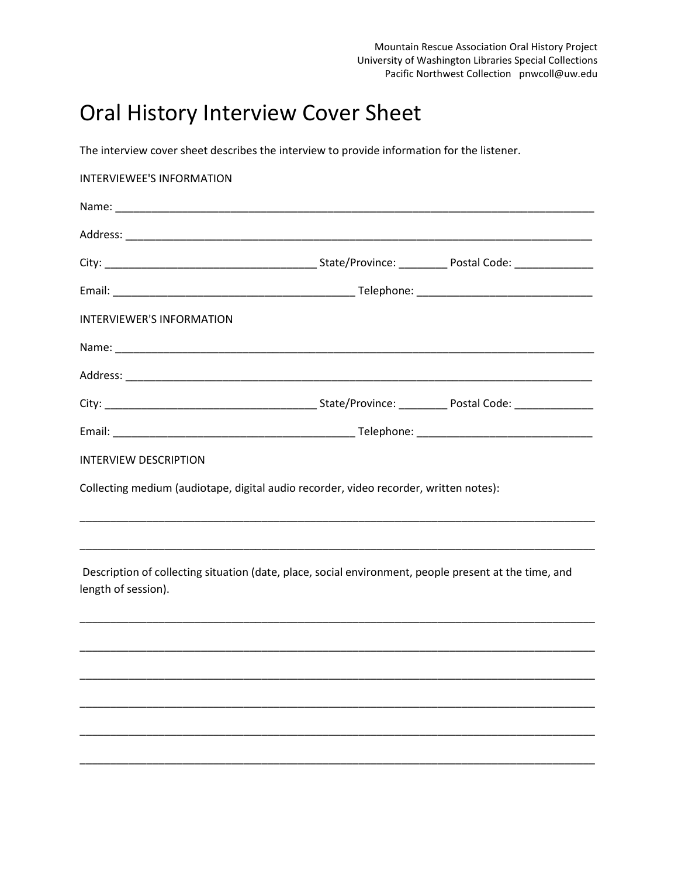## Oral History Interview Cover Sheet

The interview cover sheet describes the interview to provide information for the listener.

| INTERVIEWEE'S INFORMATION                                                             |                                                                                                                                                                                                                                |  |  |
|---------------------------------------------------------------------------------------|--------------------------------------------------------------------------------------------------------------------------------------------------------------------------------------------------------------------------------|--|--|
|                                                                                       |                                                                                                                                                                                                                                |  |  |
|                                                                                       |                                                                                                                                                                                                                                |  |  |
|                                                                                       |                                                                                                                                                                                                                                |  |  |
|                                                                                       |                                                                                                                                                                                                                                |  |  |
| <b>INTERVIEWER'S INFORMATION</b>                                                      |                                                                                                                                                                                                                                |  |  |
|                                                                                       |                                                                                                                                                                                                                                |  |  |
|                                                                                       |                                                                                                                                                                                                                                |  |  |
|                                                                                       |                                                                                                                                                                                                                                |  |  |
|                                                                                       |                                                                                                                                                                                                                                |  |  |
| <b>INTERVIEW DESCRIPTION</b>                                                          |                                                                                                                                                                                                                                |  |  |
| Collecting medium (audiotape, digital audio recorder, video recorder, written notes): |                                                                                                                                                                                                                                |  |  |
|                                                                                       | <u> 1989 - Johann Stoff, deutscher Stoff, der Stoff, der Stoff, der Stoff, der Stoff, der Stoff, der Stoff, der S</u>                                                                                                          |  |  |
| length of session).                                                                   | <u> 1989 - Johann Stoff, deutscher Stoff, der Stoff, der Stoff, der Stoff, der Stoff, der Stoff, der Stoff, der S</u><br>Description of collecting situation (date, place, social environment, people present at the time, and |  |  |
|                                                                                       |                                                                                                                                                                                                                                |  |  |
|                                                                                       |                                                                                                                                                                                                                                |  |  |
|                                                                                       |                                                                                                                                                                                                                                |  |  |
|                                                                                       |                                                                                                                                                                                                                                |  |  |
|                                                                                       |                                                                                                                                                                                                                                |  |  |
|                                                                                       |                                                                                                                                                                                                                                |  |  |